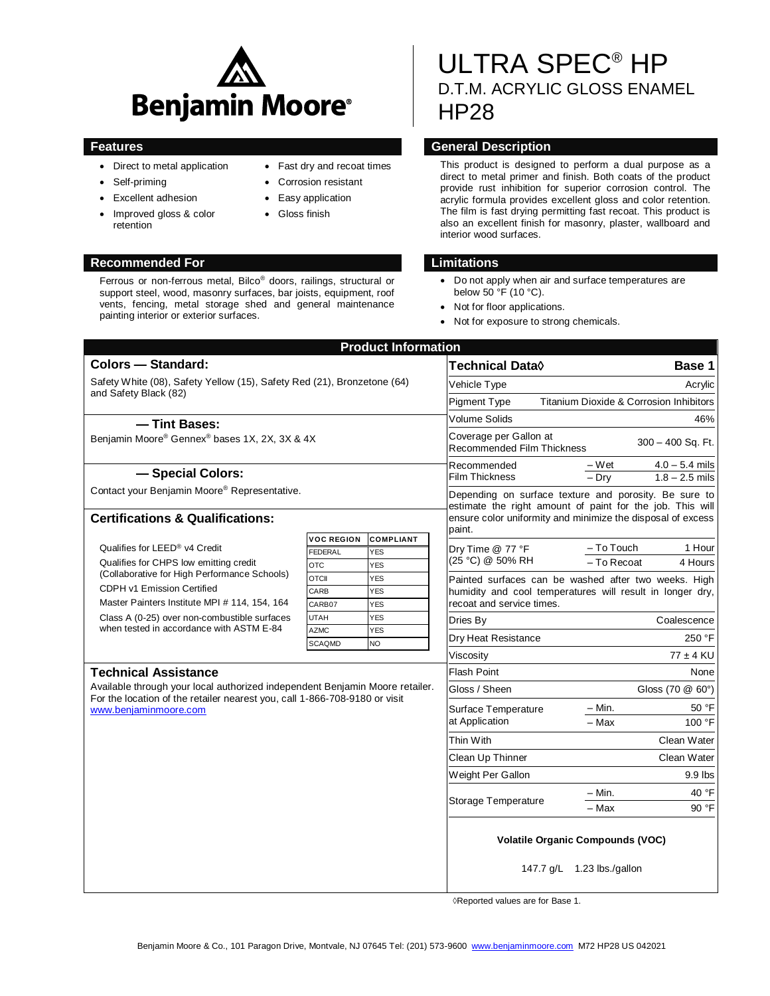

- Direct to metal application
- Self-priming
- Excellent adhesion
- Improved gloss & color retention

# **Recommended For Limitations**

Ferrous or non-ferrous metal, Bilco® doors, railings, structural or support steel, wood, masonry surfaces, bar joists, equipment, roof vents, fencing, metal storage shed and general maintenance painting interior or exterior surfaces.

- Fast dry and recoat times
- Corrosion resistant
- Easy application
- Gloss finish

# ULTRA SPEC® HP D.T.M. ACRYLIC GLOSS ENAMEL HP28

# **Features General Description**

This product is designed to perform a dual purpose as a direct to metal primer and finish. Both coats of the product provide rust inhibition for superior corrosion control. The acrylic formula provides excellent gloss and color retention. The film is fast drying permitting fast recoat. This product is also an excellent finish for masonry, plaster, wallboard and interior wood surfaces.

- Do not apply when air and surface temperatures are below 50 °F (10 °C).
- Not for floor applications.
- Not for exposure to strong chemicals.

| <b>Product Information</b>                                                                                                                                                          |                              |                         |                                                                                                                                                                                   |                                                    |
|-------------------------------------------------------------------------------------------------------------------------------------------------------------------------------------|------------------------------|-------------------------|-----------------------------------------------------------------------------------------------------------------------------------------------------------------------------------|----------------------------------------------------|
| <b>Colors - Standard:</b>                                                                                                                                                           |                              |                         | Technical Data $\Diamond$                                                                                                                                                         | Base 1                                             |
| Safety White (08), Safety Yellow (15), Safety Red (21), Bronzetone (64)                                                                                                             |                              |                         | Vehicle Type                                                                                                                                                                      | Acrylic                                            |
| and Safety Black (82)                                                                                                                                                               |                              |                         | <b>Pigment Type</b>                                                                                                                                                               | <b>Titanium Dioxide &amp; Corrosion Inhibitors</b> |
| - Tint Bases:                                                                                                                                                                       |                              |                         | <b>Volume Solids</b>                                                                                                                                                              | 46%                                                |
| Benjamin Moore® Gennex® bases 1X, 2X, 3X & 4X                                                                                                                                       |                              |                         | Coverage per Gallon at<br>Recommended Film Thickness                                                                                                                              | $300 - 400$ Sq. Ft.                                |
| - Special Colors:                                                                                                                                                                   |                              |                         | Recommended                                                                                                                                                                       | – Wet<br>$4.0 - 5.4$ mils                          |
| Contact your Benjamin Moore® Representative.                                                                                                                                        |                              |                         | <b>Film Thickness</b>                                                                                                                                                             | $-$ Drv<br>$1.8 - 2.5$ mils                        |
|                                                                                                                                                                                     |                              |                         | Depending on surface texture and porosity. Be sure to<br>estimate the right amount of paint for the job. This will<br>ensure color uniformity and minimize the disposal of excess |                                                    |
| <b>Certifications &amp; Qualifications:</b>                                                                                                                                         |                              |                         |                                                                                                                                                                                   |                                                    |
|                                                                                                                                                                                     | <b>VOC REGION</b>            | <b>COMPLIANT</b>        | paint.                                                                                                                                                                            |                                                    |
| Qualifies for LEED <sup>®</sup> v4 Credit<br>Qualifies for CHPS low emitting credit                                                                                                 | FEDERAL                      | <b>YES</b>              | Dry Time @ 77 °F<br>(25 °C) @ 50% RH                                                                                                                                              | - To Touch<br>1 Hour                               |
|                                                                                                                                                                                     | <b>OTC</b>                   | <b>YES</b>              |                                                                                                                                                                                   | - To Recoat<br>4 Hours                             |
| (Collaborative for High Performance Schools)<br>CDPH v1 Emission Certified<br>Master Painters Institute MPI # 114, 154, 164                                                         | <b>OTCII</b>                 | <b>YES</b>              | Painted surfaces can be washed after two weeks. High<br>humidity and cool temperatures will result in longer dry,<br>recoat and service times.                                    |                                                    |
|                                                                                                                                                                                     | CARB                         | <b>YES</b>              |                                                                                                                                                                                   |                                                    |
|                                                                                                                                                                                     | CARB07                       | <b>YES</b>              |                                                                                                                                                                                   |                                                    |
| Class A (0-25) over non-combustible surfaces<br>when tested in accordance with ASTM E-84                                                                                            | <b>UTAH</b>                  | <b>YES</b>              | Dries By                                                                                                                                                                          | Coalescence                                        |
|                                                                                                                                                                                     | <b>AZMC</b><br><b>SCAQMD</b> | <b>YES</b><br><b>NO</b> | Dry Heat Resistance                                                                                                                                                               | 250 °F                                             |
|                                                                                                                                                                                     |                              |                         | Viscosity                                                                                                                                                                         | $77 \pm 4$ KU                                      |
| <b>Technical Assistance</b>                                                                                                                                                         |                              |                         | <b>Flash Point</b>                                                                                                                                                                | None                                               |
| Available through your local authorized independent Benjamin Moore retailer.<br>For the location of the retailer nearest you, call 1-866-708-9180 or visit<br>www.beniaminmoore.com |                              |                         | Gloss / Sheen                                                                                                                                                                     | Gloss (70 @ 60°)                                   |
|                                                                                                                                                                                     |                              |                         | Surface Temperature                                                                                                                                                               | 50 °F<br>– Min.                                    |
|                                                                                                                                                                                     |                              | at Application          |                                                                                                                                                                                   | - Max<br>100 °F                                    |
|                                                                                                                                                                                     |                              |                         | Thin With                                                                                                                                                                         | Clean Water                                        |
|                                                                                                                                                                                     |                              |                         | Clean Up Thinner                                                                                                                                                                  | Clean Water                                        |
|                                                                                                                                                                                     |                              |                         | Weight Per Gallon                                                                                                                                                                 | 9.9 lbs                                            |
|                                                                                                                                                                                     |                              |                         |                                                                                                                                                                                   | 40 °F<br>– Min.                                    |
|                                                                                                                                                                                     |                              |                         | Storage Temperature                                                                                                                                                               | - Max<br>90 °F                                     |
|                                                                                                                                                                                     |                              |                         | <b>Volatile Organic Compounds (VOC)</b><br>147.7 g/L 1.23 lbs./gallon                                                                                                             |                                                    |

◊Reported values are for Base 1.